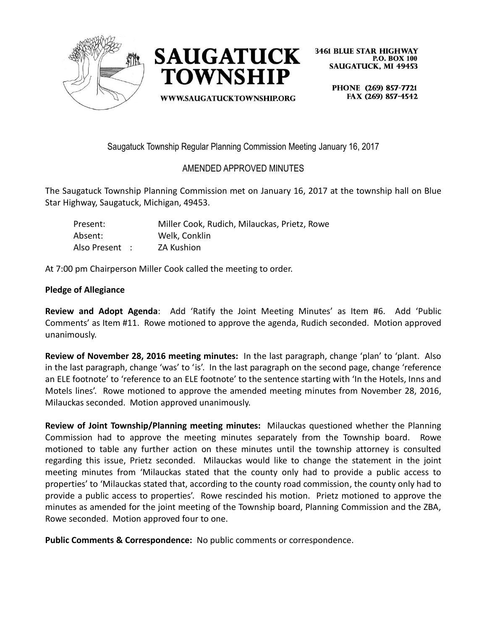



**WWW.SAUGATUCKTOWNSHIP.ORG** 

**3461 BLUE STAR HIGHWAY P.O. BOX 100 SAUGATUCK, MI 49453** 

> PHONE (269) 857-7721 FAX (269) 857-4542

Saugatuck Township Regular Planning Commission Meeting January 16, 2017

# AMENDED APPROVED MINUTES

The Saugatuck Township Planning Commission met on January 16, 2017 at the township hall on Blue Star Highway, Saugatuck, Michigan, 49453.

| Present:       | Miller Cook, Rudich, Milauckas, Prietz, Rowe |
|----------------|----------------------------------------------|
| Absent:        | Welk, Conklin                                |
| Also Present : | ZA Kushion                                   |

At 7:00 pm Chairperson Miller Cook called the meeting to order.

## **Pledge of Allegiance**

**Review and Adopt Agenda**: Add 'Ratify the Joint Meeting Minutes' as Item #6. Add 'Public Comments' as Item #11. Rowe motioned to approve the agenda, Rudich seconded. Motion approved unanimously.

**Review of November 28, 2016 meeting minutes:** In the last paragraph, change 'plan' to 'plant. Also in the last paragraph, change 'was' to 'is'. In the last paragraph on the second page, change 'reference an ELE footnote' to 'reference to an ELE footnote' to the sentence starting with 'In the Hotels, Inns and Motels lines'. Rowe motioned to approve the amended meeting minutes from November 28, 2016, Milauckas seconded. Motion approved unanimously.

**Review of Joint Township/Planning meeting minutes:** Milauckas questioned whether the Planning Commission had to approve the meeting minutes separately from the Township board. Rowe motioned to table any further action on these minutes until the township attorney is consulted regarding this issue, Prietz seconded. Milauckas would like to change the statement in the joint meeting minutes from 'Milauckas stated that the county only had to provide a public access to properties' to 'Milauckas stated that, according to the county road commission, the county only had to provide a public access to properties'. Rowe rescinded his motion. Prietz motioned to approve the minutes as amended for the joint meeting of the Township board, Planning Commission and the ZBA, Rowe seconded. Motion approved four to one.

**Public Comments & Correspondence:** No public comments or correspondence.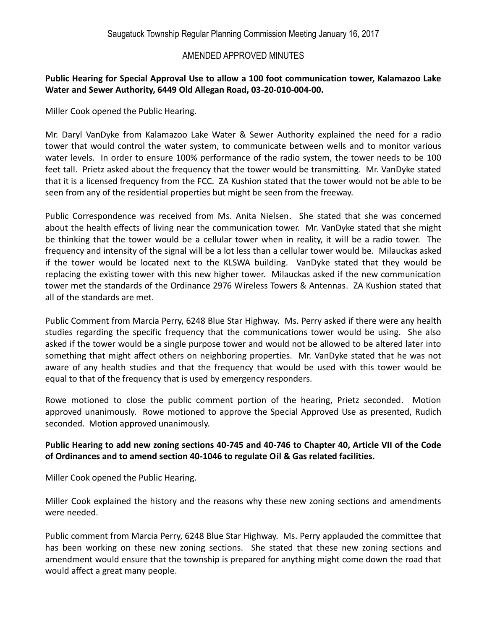## AMENDED APPROVED MINUTES

### **Public Hearing for Special Approval Use to allow a 100 foot communication tower, Kalamazoo Lake Water and Sewer Authority, 6449 Old Allegan Road, 03-20-010-004-00.**

Miller Cook opened the Public Hearing.

Mr. Daryl VanDyke from Kalamazoo Lake Water & Sewer Authority explained the need for a radio tower that would control the water system, to communicate between wells and to monitor various water levels. In order to ensure 100% performance of the radio system, the tower needs to be 100 feet tall. Prietz asked about the frequency that the tower would be transmitting. Mr. VanDyke stated that it is a licensed frequency from the FCC. ZA Kushion stated that the tower would not be able to be seen from any of the residential properties but might be seen from the freeway.

Public Correspondence was received from Ms. Anita Nielsen. She stated that she was concerned about the health effects of living near the communication tower. Mr. VanDyke stated that she might be thinking that the tower would be a cellular tower when in reality, it will be a radio tower. The frequency and intensity of the signal will be a lot less than a cellular tower would be. Milauckas asked if the tower would be located next to the KLSWA building. VanDyke stated that they would be replacing the existing tower with this new higher tower. Milauckas asked if the new communication tower met the standards of the Ordinance 2976 Wireless Towers & Antennas. ZA Kushion stated that all of the standards are met.

Public Comment from Marcia Perry, 6248 Blue Star Highway. Ms. Perry asked if there were any health studies regarding the specific frequency that the communications tower would be using. She also asked if the tower would be a single purpose tower and would not be allowed to be altered later into something that might affect others on neighboring properties. Mr. VanDyke stated that he was not aware of any health studies and that the frequency that would be used with this tower would be equal to that of the frequency that is used by emergency responders.

Rowe motioned to close the public comment portion of the hearing, Prietz seconded. Motion approved unanimously. Rowe motioned to approve the Special Approved Use as presented, Rudich seconded. Motion approved unanimously.

#### **Public Hearing to add new zoning sections 40-745 and 40-746 to Chapter 40, Article VII of the Code of Ordinances and to amend section 40-1046 to regulate Oil & Gas related facilities.**

Miller Cook opened the Public Hearing.

Miller Cook explained the history and the reasons why these new zoning sections and amendments were needed.

Public comment from Marcia Perry, 6248 Blue Star Highway. Ms. Perry applauded the committee that has been working on these new zoning sections. She stated that these new zoning sections and amendment would ensure that the township is prepared for anything might come down the road that would affect a great many people.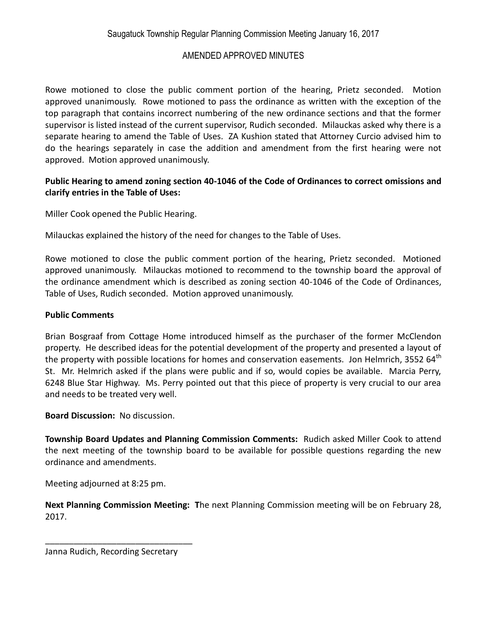## AMENDED APPROVED MINUTES

Rowe motioned to close the public comment portion of the hearing, Prietz seconded. Motion approved unanimously. Rowe motioned to pass the ordinance as written with the exception of the top paragraph that contains incorrect numbering of the new ordinance sections and that the former supervisor is listed instead of the current supervisor, Rudich seconded. Milauckas asked why there is a separate hearing to amend the Table of Uses. ZA Kushion stated that Attorney Curcio advised him to do the hearings separately in case the addition and amendment from the first hearing were not approved. Motion approved unanimously.

### **Public Hearing to amend zoning section 40-1046 of the Code of Ordinances to correct omissions and clarify entries in the Table of Uses:**

Miller Cook opened the Public Hearing.

Milauckas explained the history of the need for changes to the Table of Uses.

Rowe motioned to close the public comment portion of the hearing, Prietz seconded. Motioned approved unanimously. Milauckas motioned to recommend to the township board the approval of the ordinance amendment which is described as zoning section 40-1046 of the Code of Ordinances, Table of Uses, Rudich seconded. Motion approved unanimously.

#### **Public Comments**

Brian Bosgraaf from Cottage Home introduced himself as the purchaser of the former McClendon property. He described ideas for the potential development of the property and presented a layout of the property with possible locations for homes and conservation easements. Jon Helmrich, 3552 64<sup>th</sup> St. Mr. Helmrich asked if the plans were public and if so, would copies be available. Marcia Perry, 6248 Blue Star Highway. Ms. Perry pointed out that this piece of property is very crucial to our area and needs to be treated very well.

**Board Discussion:** No discussion.

**Township Board Updates and Planning Commission Comments:** Rudich asked Miller Cook to attend the next meeting of the township board to be available for possible questions regarding the new ordinance and amendments.

Meeting adjourned at 8:25 pm.

**Next Planning Commission Meeting: T**he next Planning Commission meeting will be on February 28, 2017.

Janna Rudich, Recording Secretary

\_\_\_\_\_\_\_\_\_\_\_\_\_\_\_\_\_\_\_\_\_\_\_\_\_\_\_\_\_\_\_